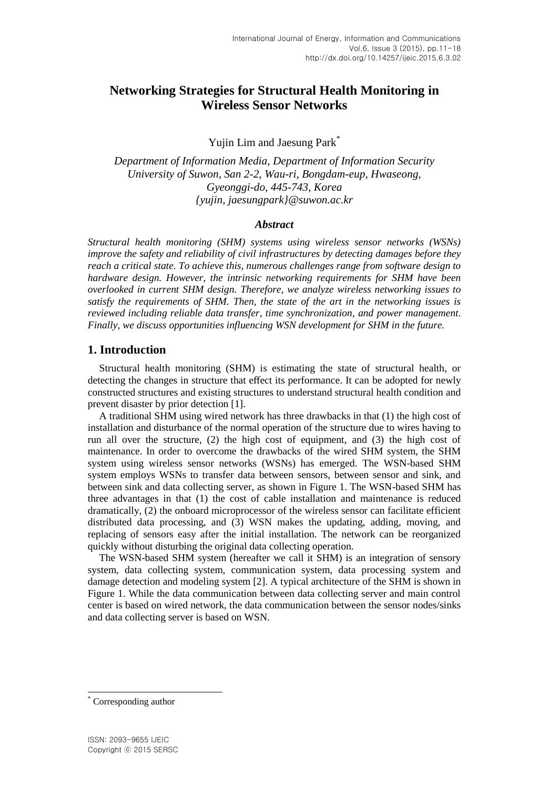# **Networking Strategies for Structural Health Monitoring in Wireless Sensor Networks**

Yujin Lim and Jaesung Park\*

*Department of Information Media, Department of Information Security University of Suwon, San 2-2, Wau-ri, Bongdam-eup, Hwaseong, Gyeonggi-do, 445-743, Korea {yujin, jaesungpark}@suwon.ac.kr*

#### *Abstract*

*Structural health monitoring (SHM) systems using wireless sensor networks (WSNs) improve the safety and reliability of civil infrastructures by detecting damages before they reach a critical state. To achieve this, numerous challenges range from software design to hardware design. However, the intrinsic networking requirements for SHM have been overlooked in current SHM design. Therefore, we analyze wireless networking issues to satisfy the requirements of SHM. Then, the state of the art in the networking issues is reviewed including reliable data transfer, time synchronization, and power management. Finally, we discuss opportunities influencing WSN development for SHM in the future.*

# **1. Introduction**

Structural health monitoring (SHM) is estimating the state of structural health, or detecting the changes in structure that effect its performance. It can be adopted for newly constructed structures and existing structures to understand structural health condition and prevent disaster by prior detection [1].

A traditional SHM using wired network has three drawbacks in that (1) the high cost of installation and disturbance of the normal operation of the structure due to wires having to run all over the structure, (2) the high cost of equipment, and (3) the high cost of maintenance. In order to overcome the drawbacks of the wired SHM system, the SHM system using wireless sensor networks (WSNs) has emerged. The WSN-based SHM system employs WSNs to transfer data between sensors, between sensor and sink, and between sink and data collecting server, as shown in Figure 1. The WSN-based SHM has three advantages in that (1) the cost of cable installation and maintenance is reduced dramatically, (2) the onboard microprocessor of the wireless sensor can facilitate efficient distributed data processing, and (3) WSN makes the updating, adding, moving, and replacing of sensors easy after the initial installation. The network can be reorganized quickly without disturbing the original data collecting operation.

The WSN-based SHM system (hereafter we call it SHM) is an integration of sensory system, data collecting system, communication system, data processing system and damage detection and modeling system [2]. A typical architecture of the SHM is shown in Figure 1. While the data communication between data collecting server and main control center is based on wired network, the data communication between the sensor nodes/sinks and data collecting server is based on WSN.

l

Corresponding author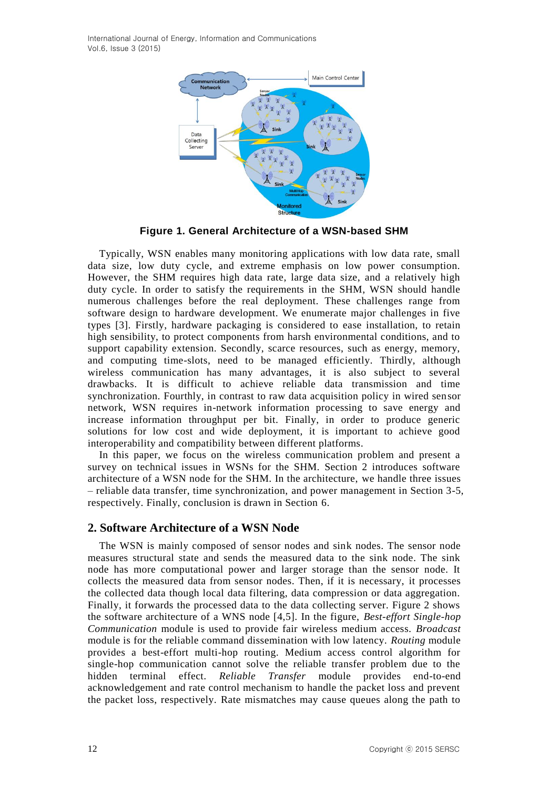International Journal of Energy, Information and Communications Vol.6, Issue 3 (2015)



**Figure 1. General Architecture of a WSN-based SHM**

Typically, WSN enables many monitoring applications with low data rate, small data size, low duty cycle, and extreme emphasis on low power consumption. However, the SHM requires high data rate, large data size, and a relatively high duty cycle. In order to satisfy the requirements in the SHM, WSN should handle numerous challenges before the real deployment. These challenges range from software design to hardware development. We enumerate major challenges in five types [3]. Firstly, hardware packaging is considered to ease installation, to retain high sensibility, to protect components from harsh environmental conditions, and to support capability extension. Secondly, scarce resources, such as energy, memory, and computing time-slots, need to be managed efficiently. Thirdly, although wireless communication has many advantages, it is also subject to several drawbacks. It is difficult to achieve reliable data transmission and time synchronization. Fourthly, in contrast to raw data acquisition policy in wired sensor network, WSN requires in-network information processing to save energy and increase information throughput per bit. Finally, in order to produce generic solutions for low cost and wide deployment, it is important to achieve good interoperability and compatibility between different platforms.

In this paper, we focus on the wireless communication problem and present a survey on technical issues in WSNs for the SHM. Section 2 introduces software architecture of a WSN node for the SHM. In the architecture, we handle three issues – reliable data transfer, time synchronization, and power management in Section 3-5, respectively. Finally, conclusion is drawn in Section 6.

# **2. Software Architecture of a WSN Node**

The WSN is mainly composed of sensor nodes and sink nodes. The sensor node measures structural state and sends the measured data to the sink node. The sink node has more computational power and larger storage than the sensor node. It collects the measured data from sensor nodes. Then, if it is necessary, it processes the collected data though local data filtering, data compression or data aggregation. Finally, it forwards the processed data to the data collecting server. Figure 2 shows the software architecture of a WNS node [4,5]. In the figure, *Best-effort Single-hop Communication* module is used to provide fair wireless medium access. *Broadcast* module is for the reliable command dissemination with low latency. *Routing* module provides a best-effort multi-hop routing. Medium access control algorithm for single-hop communication cannot solve the reliable transfer problem due to the hidden terminal effect. *Reliable Transfer* module provides end-to-end acknowledgement and rate control mechanism to handle the packet loss and prevent the packet loss, respectively. Rate mismatches may cause queues along the path to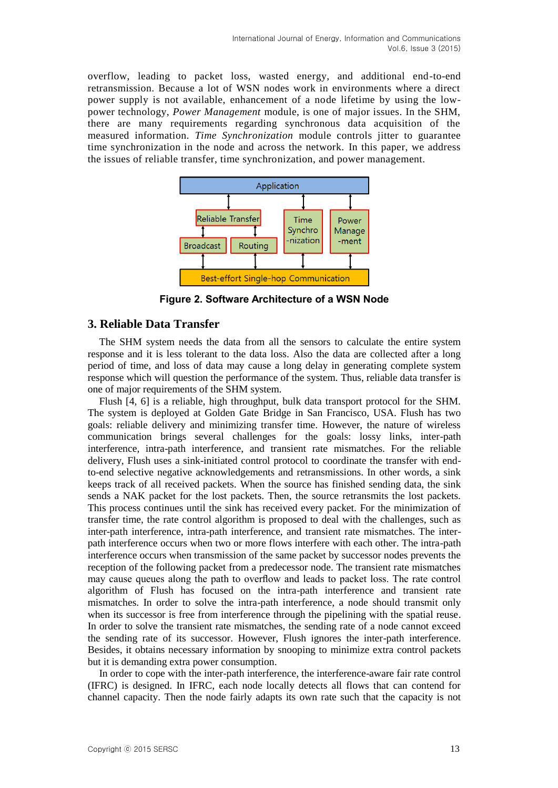overflow, leading to packet loss, wasted energy, and additional end-to-end retransmission. Because a lot of WSN nodes work in environments where a direct power supply is not available, enhancement of a node lifetime by using the lowpower technology, *Power Management* module, is one of major issues. In the SHM, there are many requirements regarding synchronous data acquisition of the measured information. *Time Synchronization* module controls jitter to guarantee time synchronization in the node and across the network. In this paper, we address the issues of reliable transfer, time synchronization, and power management.



**Figure 2. Software Architecture of a WSN Node**

# **3. Reliable Data Transfer**

The SHM system needs the data from all the sensors to calculate the entire system response and it is less tolerant to the data loss. Also the data are collected after a long period of time, and loss of data may cause a long delay in generating complete system response which will question the performance of the system. Thus, reliable data transfer is one of major requirements of the SHM system.

Flush [4, 6] is a reliable, high throughput, bulk data transport protocol for the SHM. The system is deployed at Golden Gate Bridge in San Francisco, USA. Flush has two goals: reliable delivery and minimizing transfer time. However, the nature of wireless communication brings several challenges for the goals: lossy links, inter-path interference, intra-path interference, and transient rate mismatches. For the reliable delivery, Flush uses a sink-initiated control protocol to coordinate the transfer with endto-end selective negative acknowledgements and retransmissions. In other words, a sink keeps track of all received packets. When the source has finished sending data, the sink sends a NAK packet for the lost packets. Then, the source retransmits the lost packets. This process continues until the sink has received every packet. For the minimization of transfer time, the rate control algorithm is proposed to deal with the challenges, such as inter-path interference, intra-path interference, and transient rate mismatches. The interpath interference occurs when two or more flows interfere with each other. The intra-path interference occurs when transmission of the same packet by successor nodes prevents the reception of the following packet from a predecessor node. The transient rate mismatches may cause queues along the path to overflow and leads to packet loss. The rate control algorithm of Flush has focused on the intra-path interference and transient rate mismatches. In order to solve the intra-path interference, a node should transmit only when its successor is free from interference through the pipelining with the spatial reuse. In order to solve the transient rate mismatches, the sending rate of a node cannot exceed the sending rate of its successor. However, Flush ignores the inter-path interference. Besides, it obtains necessary information by snooping to minimize extra control packets but it is demanding extra power consumption.

In order to cope with the inter-path interference, the interference-aware fair rate control (IFRC) is designed. In IFRC, each node locally detects all flows that can contend for channel capacity. Then the node fairly adapts its own rate such that the capacity is not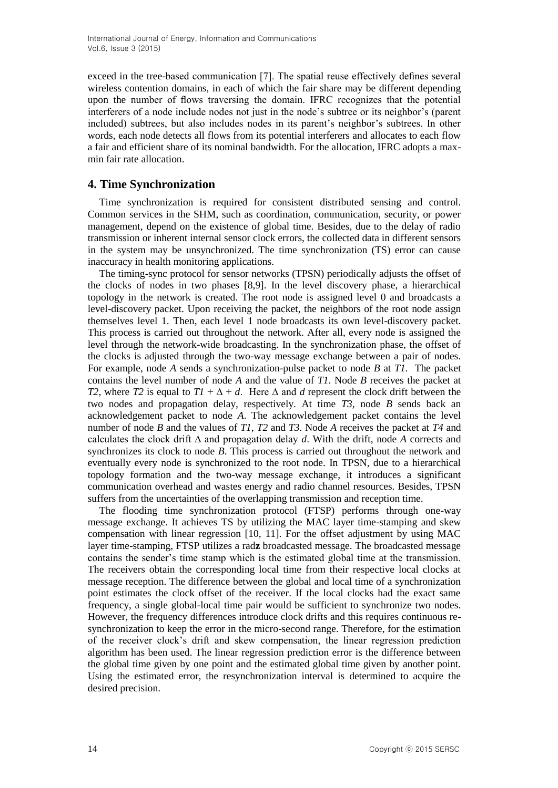International Journal of Energy, Information and Communications Vol.6, Issue 3 (2015)

exceed in the tree-based communication [7]. The spatial reuse effectively defines several wireless contention domains, in each of which the fair share may be different depending upon the number of flows traversing the domain. IFRC recognizes that the potential interferers of a node include nodes not just in the node's subtree or its neighbor's (parent included) subtrees, but also includes nodes in its parent's neighbor's subtrees. In other words, each node detects all flows from its potential interferers and allocates to each flow a fair and efficient share of its nominal bandwidth. For the allocation, IFRC adopts a maxmin fair rate allocation.

#### **4. Time Synchronization**

Time synchronization is required for consistent distributed sensing and control. Common services in the SHM, such as coordination, communication, security, or power management, depend on the existence of global time. Besides, due to the delay of radio transmission or inherent internal sensor clock errors, the collected data in different sensors in the system may be unsynchronized. The time synchronization (TS) error can cause inaccuracy in health monitoring applications.

The timing-sync protocol for sensor networks (TPSN) periodically adjusts the offset of the clocks of nodes in two phases [8,9]. In the level discovery phase, a hierarchical topology in the network is created. The root node is assigned level 0 and broadcasts a level-discovery packet. Upon receiving the packet, the neighbors of the root node assign themselves level 1. Then, each level 1 node broadcasts its own level-discovery packet. This process is carried out throughout the network. After all, every node is assigned the level through the network-wide broadcasting. In the synchronization phase, the offset of the clocks is adjusted through the two-way message exchange between a pair of nodes. For example, node *A* sends a synchronization-pulse packet to node *B* at *T1*. The packet contains the level number of node *A* and the value of *T1*. Node *B* receives the packet at *T2*, where *T2* is equal to  $T1 + \Delta + d$ . Here  $\Delta$  and *d* represent the clock drift between the two nodes and propagation delay, respectively. At time *T3*, node *B* sends back an acknowledgement packet to node *A*. The acknowledgement packet contains the level number of node *B* and the values of *T1*, *T2* and *T3*. Node *A* receives the packet at *T4* and calculates the clock drift ∆ and propagation delay *d*. With the drift, node *A* corrects and synchronizes its clock to node *B*. This process is carried out throughout the network and eventually every node is synchronized to the root node. In TPSN, due to a hierarchical topology formation and the two-way message exchange, it introduces a significant communication overhead and wastes energy and radio channel resources. Besides, TPSN suffers from the uncertainties of the overlapping transmission and reception time.

The flooding time synchronization protocol (FTSP) performs through one-way message exchange. It achieves TS by utilizing the MAC layer time-stamping and skew compensation with linear regression [10, 11]. For the offset adjustment by using MAC layer time-stamping, FTSP utilizes a rad**z** broadcasted message. The broadcasted message contains the sender's time stamp which is the estimated global time at the transmission. The receivers obtain the corresponding local time from their respective local clocks at message reception. The difference between the global and local time of a synchronization point estimates the clock offset of the receiver. If the local clocks had the exact same frequency, a single global-local time pair would be sufficient to synchronize two nodes. However, the frequency differences introduce clock drifts and this requires continuous resynchronization to keep the error in the micro-second range. Therefore, for the estimation of the receiver clock's drift and skew compensation, the linear regression prediction algorithm has been used. The linear regression prediction error is the difference between the global time given by one point and the estimated global time given by another point. Using the estimated error, the resynchronization interval is determined to acquire the desired precision.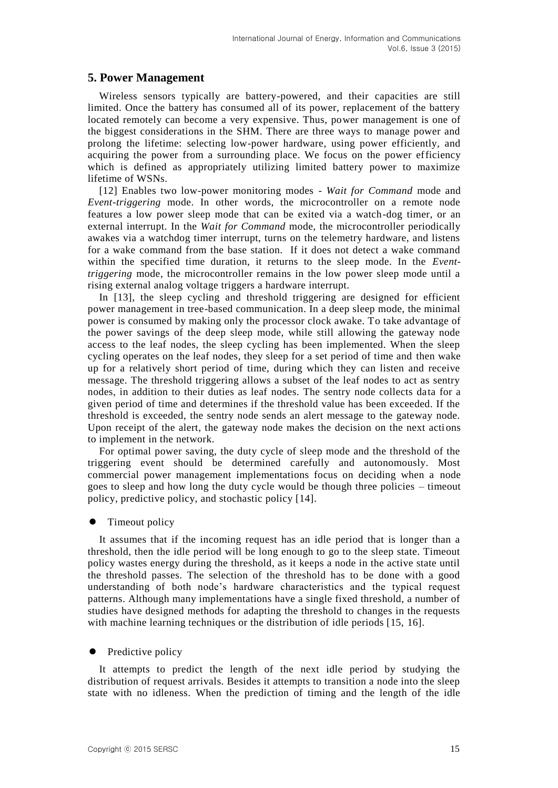# **5. Power Management**

Wireless sensors typically are battery-powered, and their capacities are still limited. Once the battery has consumed all of its power, replacement of the battery located remotely can become a very expensive. Thus, power management is one of the biggest considerations in the SHM. There are three ways to manage power and prolong the lifetime: selecting low-power hardware, using power efficiently, and acquiring the power from a surrounding place. We focus on the power efficiency which is defined as appropriately utilizing limited battery power to maximize lifetime of WSNs.

[12] Enables two low-power monitoring modes - *Wait for Command* mode and *Event-triggering* mode. In other words, the microcontroller on a remote node features a low power sleep mode that can be exited via a watch-dog timer, or an external interrupt. In the *Wait for Command* mode, the microcontroller periodically awakes via a watchdog timer interrupt, turns on the telemetry hardware, and listens for a wake command from the base station. If it does not detect a wake command within the specified time duration, it returns to the sleep mode. In the *Eventtriggering* mode, the microcontroller remains in the low power sleep mode until a rising external analog voltage triggers a hardware interrupt.

In [13], the sleep cycling and threshold triggering are designed for efficient power management in tree-based communication. In a deep sleep mode, the minimal power is consumed by making only the processor clock awake. To take advantage of the power savings of the deep sleep mode, while still allowing the gateway node access to the leaf nodes, the sleep cycling has been implemented. When the sleep cycling operates on the leaf nodes, they sleep for a set period of time and then wake up for a relatively short period of time, during which they can listen and receive message. The threshold triggering allows a subset of the leaf nodes to act as sentry nodes, in addition to their duties as leaf nodes. The sentry node collects data for a given period of time and determines if the threshold value has been exceeded. If the threshold is exceeded, the sentry node sends an alert message to the gateway node. Upon receipt of the alert, the gateway node makes the decision on the next actions to implement in the network.

For optimal power saving, the duty cycle of sleep mode and the threshold of the triggering event should be determined carefully and autonomously. Most commercial power management implementations focus on deciding when a node goes to sleep and how long the duty cycle would be though three policies – timeout policy, predictive policy, and stochastic policy [14].

#### Timeout policy

It assumes that if the incoming request has an idle period that is longer than a threshold, then the idle period will be long enough to go to the sleep state. Timeout policy wastes energy during the threshold, as it keeps a node in the active state until the threshold passes. The selection of the threshold has to be done with a good understanding of both node's hardware characteristics and the typical request patterns. Although many implementations have a single fixed threshold, a number of studies have designed methods for adapting the threshold to changes in the requests with machine learning techniques or the distribution of idle periods [15, 16].

### $\bullet$  Predictive policy

It attempts to predict the length of the next idle period by studying the distribution of request arrivals. Besides it attempts to transition a node into the sleep state with no idleness. When the prediction of timing and the length of the idle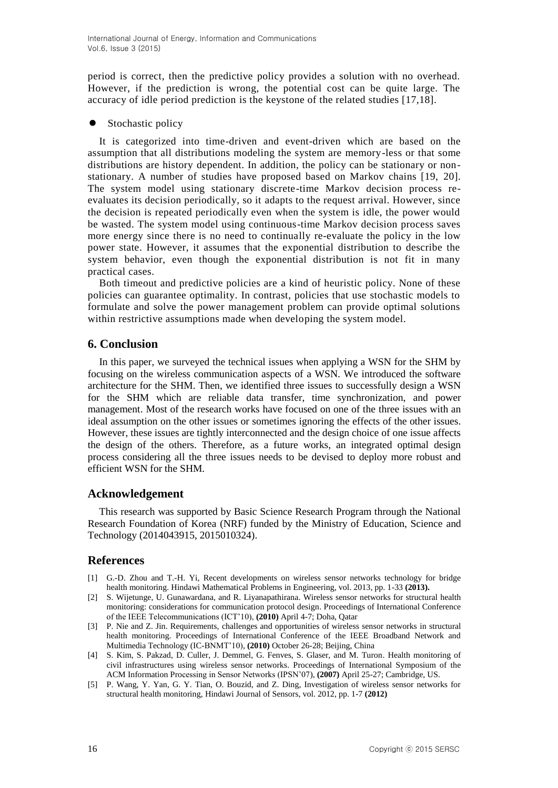period is correct, then the predictive policy provides a solution with no overhead. However, if the prediction is wrong, the potential cost can be quite large. The accuracy of idle period prediction is the keystone of the related studies [17,18].

#### Stochastic policy

It is categorized into time-driven and event-driven which are based on the assumption that all distributions modeling the system are memory-less or that some distributions are history dependent. In addition, the policy can be stationary or nonstationary. A number of studies have proposed based on Markov chains [19, 20]. The system model using stationary discrete-time Markov decision process reevaluates its decision periodically, so it adapts to the request arrival. However, since the decision is repeated periodically even when the system is idle, the power would be wasted. The system model using continuous-time Markov decision process saves more energy since there is no need to continually re-evaluate the policy in the low power state. However, it assumes that the exponential distribution to describe the system behavior, even though the exponential distribution is not fit in many practical cases.

Both timeout and predictive policies are a kind of heuristic policy. None of these policies can guarantee optimality. In contrast, policies that use stochastic models to formulate and solve the power management problem can provide optimal solutions within restrictive assumptions made when developing the system model.

# **6. Conclusion**

In this paper, we surveyed the technical issues when applying a WSN for the SHM by focusing on the wireless communication aspects of a WSN. We introduced the software architecture for the SHM. Then, we identified three issues to successfully design a WSN for the SHM which are reliable data transfer, time synchronization, and power management. Most of the research works have focused on one of the three issues with an ideal assumption on the other issues or sometimes ignoring the effects of the other issues. However, these issues are tightly interconnected and the design choice of one issue affects the design of the others. Therefore, as a future works, an integrated optimal design process considering all the three issues needs to be devised to deploy more robust and efficient WSN for the SHM.

# **Acknowledgement**

This research was supported by Basic Science Research Program through the National Research Foundation of Korea (NRF) funded by the Ministry of Education, Science and Technology (2014043915, 2015010324).

# **References**

- [1] G.-D. Zhou and T.-H. Yi, Recent developments on wireless sensor networks technology for bridge health monitoring. Hindawi Mathematical Problems in Engineering, vol. 2013, pp. 1-33 **(2013).**
- [2] S. Wijetunge, U. Gunawardana, and R. Liyanapathirana. Wireless sensor networks for structural health monitoring: considerations for communication protocol design. Proceedings of International Conference of the IEEE Telecommunications (ICT'10), **(2010)** April 4-7; Doha, Qatar
- [3] P. Nie and Z. Jin. Requirements, challenges and opportunities of wireless sensor networks in structural health monitoring. Proceedings of International Conference of the IEEE Broadband Network and Multimedia Technology (IC-BNMT'10), **(2010)** October 26-28; Beijing, China
- [4] S. Kim, S. Pakzad, D. Culler, J. Demmel, G. Fenves, S. Glaser, and M. Turon. Health monitoring of civil infrastructures using wireless sensor networks. Proceedings of International Symposium of the ACM Information Processing in Sensor Networks (IPSN'07), **(2007)** April 25-27; Cambridge, US.
- [5] P. Wang, Y. Yan, G. Y. Tian, O. Bouzid, and Z. Ding, Investigation of wireless sensor networks for structural health monitoring, Hindawi Journal of Sensors, vol. 2012, pp. 1-7 **(2012)**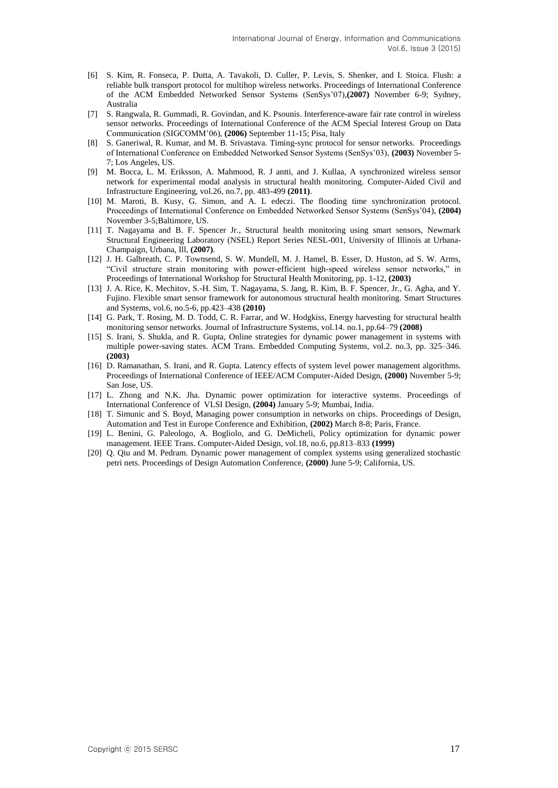- [6] S. Kim, R. Fonseca, P. Dutta, A. Tavakoli, D. Culler, P. Levis, S. Shenker, and I. Stoica. Flush: a reliable bulk transport protocol for multihop wireless networks. Proceedings of International Conference of the ACM Embedded Networked Sensor Systems (SenSys'07),**(2007)** November 6-9; Sydney, Australia
- [7] S. Rangwala, R. Gummadi, R. Govindan, and K. Psounis. Interference-aware fair rate control in wireless sensor networks. Proceedings of International Conference of the ACM Special Interest Group on Data Communication (SIGCOMM'06), **(2006)** September 11-15; Pisa, Italy
- [8] S. Ganeriwal, R. Kumar, and M. B. Srivastava. Timing-sync protocol for sensor networks. Proceedings of International Conference on Embedded Networked Sensor Systems (SenSys'03), **(2003)** November 5- 7; Los Angeles, US.
- [9] M. Bocca, L. M. Eriksson, A. Mahmood, R. J antti, and J. Kullaa, A synchronized wireless sensor network for experimental modal analysis in structural health monitoring. Computer-Aided Civil and Infrastructure Engineering, vol.26, no.7, pp. 483-499 **(2011)**.
- [10] M. Maroti, B. Kusy, G. Simon, and A. L edeczi. The flooding time synchronization protocol. Proceedings of International Conference on Embedded Networked Sensor Systems (SenSys'04), **(2004)** November 3-5;Baltimore, US.
- [11] T. Nagayama and B. F. Spencer Jr., Structural health monitoring using smart sensors, Newmark Structural Engineering Laboratory (NSEL) Report Series NESL-001, University of Illinois at Urbana-Champaign, Urbana, Ill, **(2007)**.
- [12] J. H. Galbreath, C. P. Townsend, S. W. Mundell, M. J. Hamel, B. Esser, D. Huston, ad S. W. Arms, "Civil structure strain monitoring with power-efficient high-speed wireless sensor networks," in Proceedings of International Workshop for Structural Health Monitoring, pp. 1-12, **(2003)**
- [13] J. A. Rice, K. Mechitov, S.-H. Sim, T. Nagayama, S. Jang, R. Kim, B. F. Spencer, Jr., G. Agha, and Y. Fujino. Flexible smart sensor framework for autonomous structural health monitoring. Smart Structures and Systems, vol.6, no.5-6, pp.423–438 **(2010)**
- [14] G. Park, T. Rosing, M. D. Todd, C. R. Farrar, and W. Hodgkiss, Energy harvesting for structural health monitoring sensor networks. Journal of Infrastructure Systems, vol.14. no.1, pp.64–79 **(2008)**
- [15] S. Irani, S. Shukla, and R. Gupta, Online strategies for dynamic power management in systems with multiple power-saving states. ACM Trans. Embedded Computing Systems, vol.2. no.3, pp. 325–346. **(2003)**
- [16] D. Ramanathan, S. Irani, and R. Gupta. Latency effects of system level power management algorithms. Proceedings of International Conference of IEEE/ACM Computer-Aided Design, **(2000)** November 5-9; San Jose, US.
- [17] L. Zhong and N.K. Jha. Dynamic power optimization for interactive systems. Proceedings of International Conference of VLSI Design, **(2004)** January 5-9; Mumbai, India.
- [18] T. Simunic and S. Boyd, Managing power consumption in networks on chips. Proceedings of Design, Automation and Test in Europe Conference and Exhibition, **(2002)** March 8-8; Paris, France.
- [19] L. Benini, G. Paleologo, A. Bogliolo, and G. DeMicheli, Policy optimization for dynamic power management. IEEE Trans. Computer-Aided Design, vol.18, no.6, pp.813–833 **(1999)**
- [20] Q. Qiu and M. Pedram. Dynamic power management of complex systems using generalized stochastic petri nets. Proceedings of Design Automation Conference, **(2000)** June 5-9; California, US.